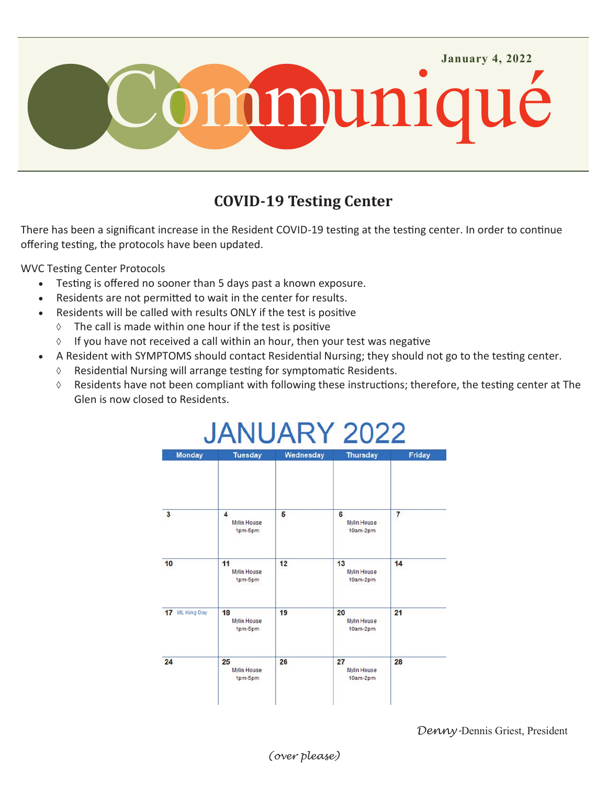

## **COVID-19 Testing Center**

There has been a significant increase in the Resident COVID-19 testing at the testing center. In order to continue offering testing, the protocols have been updated.

WVC Testing Center Protocols

- Testing is offered no sooner than 5 days past a known exposure.
- Residents are not permitted to wait in the center for results.
- Residents will be called with results ONLY if the test is positive
	- $\lozenge$  The call is made within one hour if the test is positive
	- $\Diamond$  If you have not received a call within an hour, then your test was negative
	- A Resident with SYMPTOMS should contact Residential Nursing; they should not go to the testing center.
	- $\Diamond$  Residential Nursing will arrange testing for symptomatic Residents.
	- $\Diamond$  Residents have not been compliant with following these instructions; therefore, the testing center at The Glen is now closed to Residents.